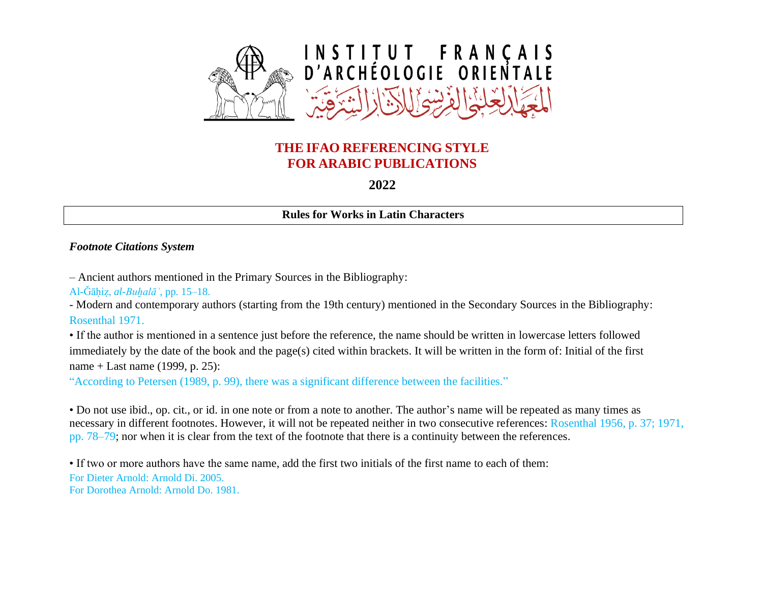

# **THE IFAO REFERENCING STYLE FOR ARABIC PUBLICATIONS**

**2022**

**Rules for Works in Latin Characters**

#### *Footnote Citations System*

– Ancient authors mentioned in the Primary Sources in the Bibliography:

Al-Ǧāḥiẓ, *al-Buḫalāʾ*, pp. 15–18.

- Modern and contemporary authors (starting from the 19th century) mentioned in the Secondary Sources in the Bibliography: Rosenthal 1971.

• If the author is mentioned in a sentence just before the reference, the name should be written in lowercase letters followed immediately by the date of the book and the page(s) cited within brackets. It will be written in the form of: Initial of the first name + Last name (1999, p. 25):

"According to Petersen (1989, p. 99), there was a significant difference between the facilities."

• Do not use ibid., op. cit., or id. in one note or from a note to another. The author's name will be repeated as many times as necessary in different footnotes. However, it will not be repeated neither in two consecutive references: Rosenthal 1956, p. 37; 1971, pp. 78–79; nor when it is clear from the text of the footnote that there is a continuity between the references.

• If two or more authors have the same name, add the first two initials of the first name to each of them:

For Dieter Arnold: Arnold Di. 2005. For Dorothea Arnold: Arnold Do. 1981.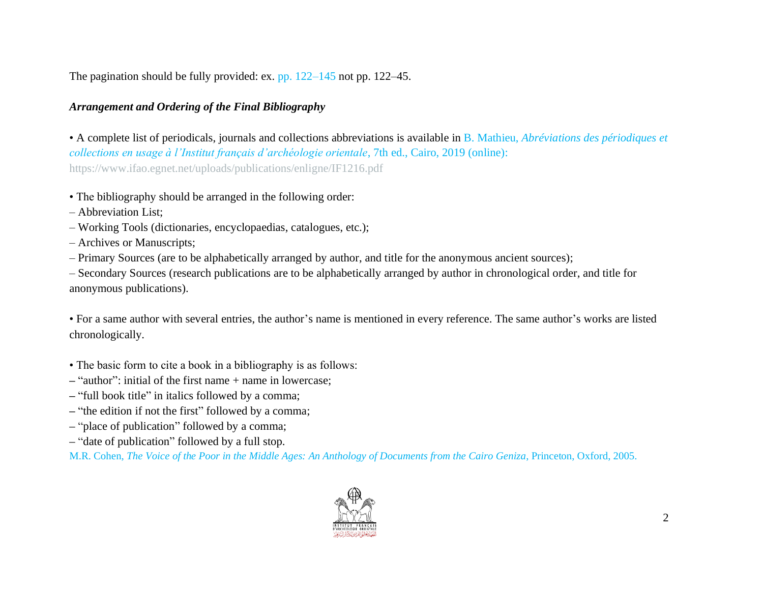The pagination should be fully provided: ex. pp. 122–145 not pp. 122–45.

## *Arrangement and Ordering of the Final Bibliography*

• A complete list of periodicals, journals and collections abbreviations is available in B. Mathieu, *Abréviations des périodiques et collections en usage à l'Institut français d'archéologie orientale*, 7th ed., Cairo, 2019 (online): <https://www.ifao.egnet.net/uploads/publications/enligne/IF1216.pdf>

- The bibliography should be arranged in the following order:
- Abbreviation List;
- Working Tools (dictionaries, encyclopaedias, catalogues, etc.);
- Archives or Manuscripts;
- Primary Sources (are to be alphabetically arranged by author, and title for the anonymous ancient sources);

– Secondary Sources (research publications are to be alphabetically arranged by author in chronological order, and title for anonymous publications).

• For a same author with several entries, the author's name is mentioned in every reference. The same author's works are listed chronologically.

- The basic form to cite a book in a bibliography is as follows:
- **–** "author": initial of the first name + name in lowercase;
- **–** "full book title" in italics followed by a comma;
- **–** "the edition if not the first" followed by a comma;
- **–** "place of publication" followed by a comma;
- **–** "date of publication" followed by a full stop.

M.R. Cohen, *The Voice of the Poor in the Middle Ages: An Anthology of Documents from the Cairo Geniza*, Princeton, Oxford, 2005.

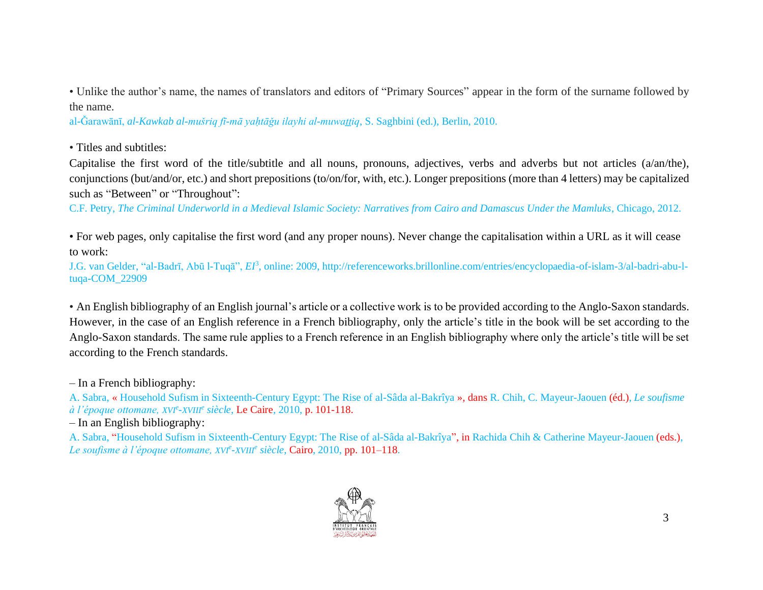• Unlike the author's name, the names of translators and editors of "Primary Sources" appear in the form of the surname followed by the name.

al-Ǧarawānī, *al-Kawkab al-mušriq fī-mā yaḥtāǧu ilayhi al-muwaṯṯiq*, S. Saghbini (ed.), Berlin, 2010.

• Titles and subtitles:

Capitalise the first word of the title/subtitle and all nouns, pronouns, adjectives, verbs and adverbs but not articles (a/an/the), conjunctions (but/and/or, etc.) and short prepositions (to/on/for, with, etc.). Longer prepositions (more than 4 letters) may be capitalized such as "Between" or "Throughout":

C.F. Petry, *The Criminal Underworld in a Medieval Islamic Society: Narratives from Cairo and Damascus Under the Mamluks*, Chicago, 2012.

• For web pages, only capitalise the first word (and any proper nouns). Never change the capitalisation within a URL as it will cease to work:

J.G. van Gelder, "al-Badrī, Abū l-Tuqā", *EI*<sup>3</sup> , online: 2009, [http://referenceworks.brillonline.com/entries/encyclopaedia-of-islam-3/al-badri-abu-l](http://referenceworks.brillonline.com/entries/encyclopaedia-of-islam-3/al-badri-abu-l-tuqa-COM_22909)[tuqa-COM\\_22909](http://referenceworks.brillonline.com/entries/encyclopaedia-of-islam-3/al-badri-abu-l-tuqa-COM_22909)

• An English bibliography of an English journal's article or a collective work is to be provided according to the Anglo-Saxon standards. However, in the case of an English reference in a French bibliography, only the article's title in the book will be set according to the Anglo-Saxon standards. The same rule applies to a French reference in an English bibliography where only the article's title will be set according to the French standards.

– In a French bibliography:

A. Sabra, « Household Sufism in Sixteenth-Century Egypt: The Rise of al-Sâda al-Bakrîya », dans R. Chih, C. Mayeur-Jaouen (éd.), *Le soufisme à l'époque ottomane, XVI<sup>e</sup> -XVIII<sup>e</sup> siècle*, Le Caire, 2010, p. 101-118.

– In an English bibliography:

A. Sabra, "Household Sufism in Sixteenth-Century Egypt: The Rise of al-Sâda al-Bakrîya", in Rachida Chih & Catherine Mayeur-Jaouen (eds.), *Le soufisme à l'époque ottomane, XVI<sup>e</sup> -XVIII<sup>e</sup> siècle*, Cairo, 2010, pp. 101–118.

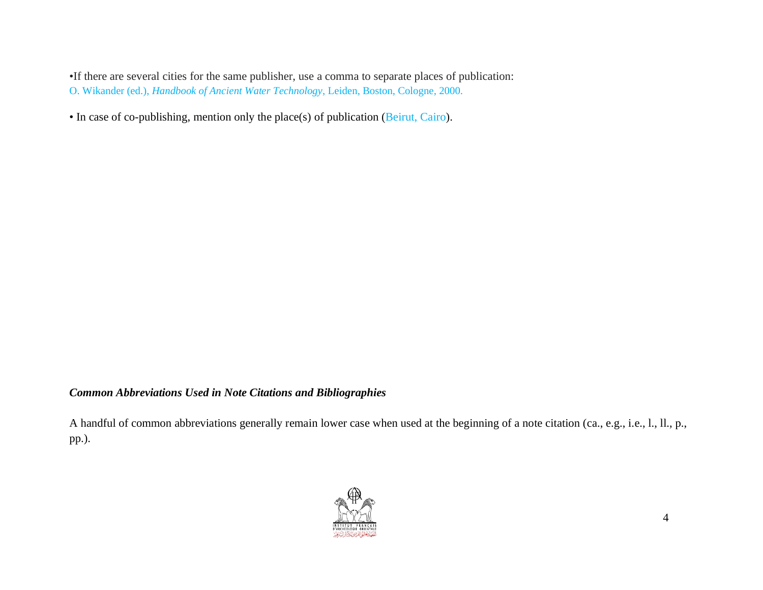•If there are several cities for the same publisher, use a comma to separate places of publication: O. Wikander (ed.), *Handbook of Ancient Water Technology*, Leiden, Boston, Cologne, 2000.

• In case of co-publishing, mention only the place(s) of publication (Beirut, Cairo).

### *Common Abbreviations Used in Note Citations and Bibliographies*

A handful of common abbreviations generally remain lower case when used at the beginning of a note citation (ca., e.g., i.e., l., ll., p., pp.).

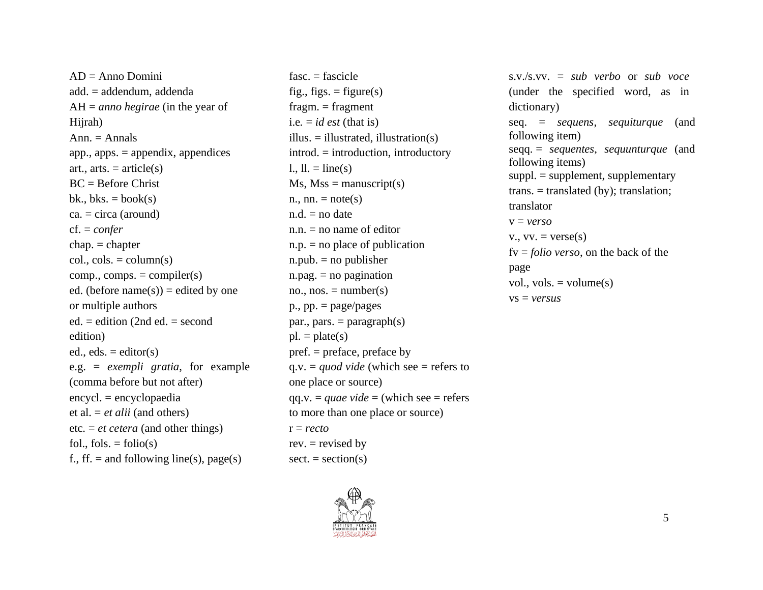$AD = \text{Anno Domini}$ add. = addendum, addenda AH = *anno hegirae* (in the year of Hijrah)  $Ann. = Annals$ app., apps. = appendix, appendices art., arts.  $=$  article(s)  $BC = Before Christ$ bk., bks.  $=$  book(s)  $ca. = circa (around)$ cf. = *confer* chap. = chapter  $col., \ncols. = column(s)$  $comp., comps. = compiler(s)$ ed. (before  $name(s))$  = edited by one or multiple authors ed. = edition (2nd ed. = second edition) ed., eds.  $=$  editor(s) e.g. = *exempli gratia*, for example (comma before but not after) encycl. = encyclopaedia et al. = *et alii* (and others) etc. = *et cetera* (and other things) fol., fols.  $=$  folio(s) f., ff. = and following line(s), page(s)

 $fasc. = fascicle$ fig., figs.  $=$  figure(s)  $fragm = fragment$ i.e.  $= id$  *est* (that is) illus.  $=$  illustration(s) introd. = introduction, introductory  $l_{\cdot}$ ,  $ll_{\cdot}$  = line(s)  $Ms, Mss = manuscript(s)$ n., nn.  $=$  note(s)  $n.d.$  = no date  $n.n.$  = no name of editor  $n.p.$  = no place of publication  $n.pub. = no publisher$  $n.pag. = no$  pagination no., nos.  $=$  number(s)  $p_{\cdot}$ ,  $pp_{\cdot} = page/pages$ par., pars.  $=$  paragraph(s)  $pl. = plate(s)$ pref. = preface, preface by  $q.v. = *quod vide*$  (which see = refers to one place or source) qq.v. = *quae vide* = (which see = refers to more than one place or source) r = *recto* rev.  $=$  revised by  $sect = section(s)$ 



s.v./s.vv. = *sub verbo* or *sub voce* (under the specified word, as in dictionary) seq. = *sequens*, *sequiturque* (and following item) seqq. = *sequentes*, *sequunturque* (and following items) suppl. = supplement, supplementary  $trans. = translated (by); translation;$ translator v = *verso*  $v_{\cdot}$ ,  $vv_{\cdot} = \text{verse}(s)$ fv = *folio verso*, on the back of the page vol., vols.  $=$  volume $(s)$ vs = *versus*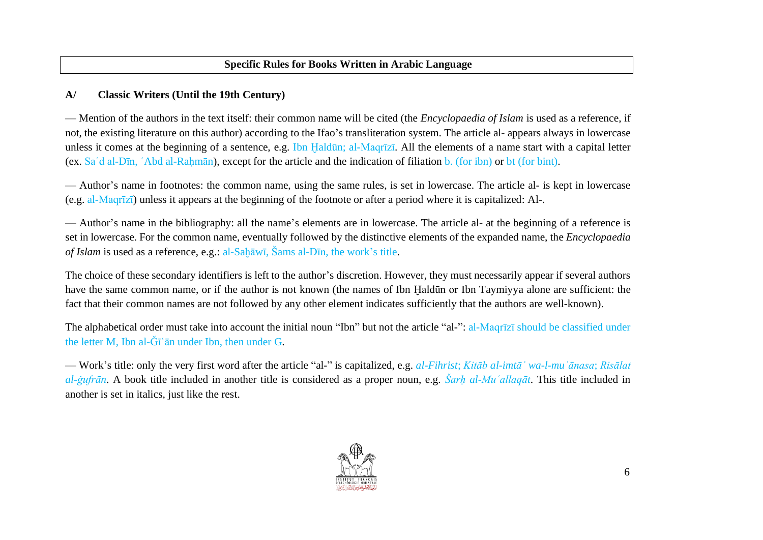### **A/ Classic Writers (Until the 19th Century)**

— Mention of the authors in the text itself: their common name will be cited (the *Encyclopaedia of Islam* is used as a reference, if not, the existing literature on this author) according to the Ifao's transliteration system. The article al- appears always in lowercase unless it comes at the beginning of a sentence, e.g. Ibn Haldūn; al-Maqrīzī. All the elements of a name start with a capital letter (ex. Saʿd al-Dīn, ʿAbd al-Raḥmān), except for the article and the indication of filiation b. (for ibn) or bt (for bint).

— Author's name in footnotes: the common name, using the same rules, is set in lowercase. The article al- is kept in lowercase (e.g. al-Maqrīzī) unless it appears at the beginning of the footnote or after a period where it is capitalized: Al-.

— Author's name in the bibliography: all the name's elements are in lowercase. The article al- at the beginning of a reference is set in lowercase. For the common name, eventually followed by the distinctive elements of the expanded name, the *Encyclopaedia of Islam* is used as a reference, e.g.: al-Sahāwī, Šams al-Dīn, the work's title.

The choice of these secondary identifiers is left to the author's discretion. However, they must necessarily appear if several authors have the same common name, or if the author is not known (the names of Ibn Haldūn or Ibn Taymiyya alone are sufficient: the fact that their common names are not followed by any other element indicates sufficiently that the authors are well-known).

The alphabetical order must take into account the initial noun "Ibn" but not the article "al-": al-Maqrīzī should be classified under the letter M, Ibn al-Ǧīʿān under Ibn, then under G.

— Work's title: only the very first word after the article "al-" is capitalized, e.g. *al-Fihrist*; *Kitāb al-imtāʿ wa-l-muʾānasa*; *Risālat al-ġufrān*. A book title included in another title is considered as a proper noun, e.g. *Šarḥ al-Muʿallaqāt*. This title included in another is set in italics, just like the rest.

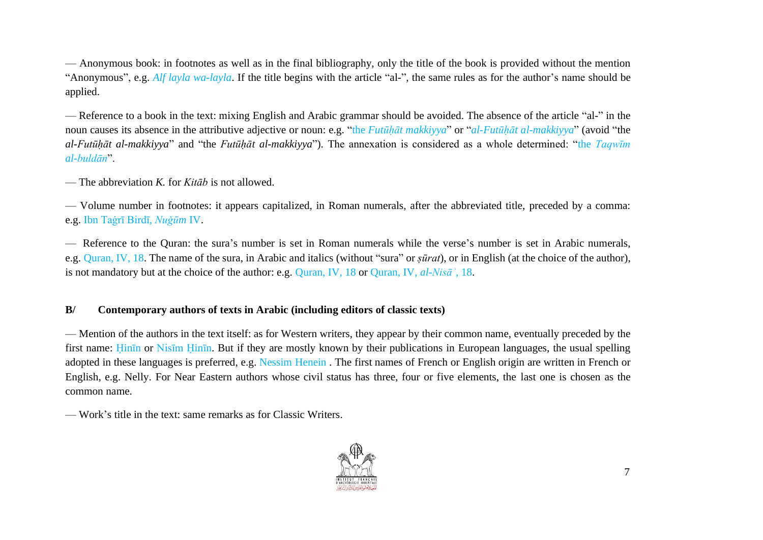— Anonymous book: in footnotes as well as in the final bibliography, only the title of the book is provided without the mention "Anonymous", e.g. *Alf layla wa-layla*. If the title begins with the article "al-", the same rules as for the author's name should be applied.

— Reference to a book in the text: mixing English and Arabic grammar should be avoided. The absence of the article "al-" in the noun causes its absence in the attributive adjective or noun: e.g. "the *Futūḥāt makkiyya*" or "*al-Futūḥāt al-makkiyya*" (avoid "the *al-Futūḥāt al-makkiyya*" and "the *Futūḥāt al-makkiyya*"). The annexation is considered as a whole determined: "the *Taqwīm al-buldān*".

— The abbreviation *K.* for *Kitāb* is not allowed.

— Volume number in footnotes: it appears capitalized, in Roman numerals, after the abbreviated title, preceded by a comma: e.g. Ibn Taġrī Birdī, *Nuǧūm* IV.

— Reference to the Quran: the sura's number is set in Roman numerals while the verse's number is set in Arabic numerals, e.g. Quran, IV, 18. The name of the sura, in Arabic and italics (without "sura" or *ṣūrat*), or in English (at the choice of the author), is not mandatory but at the choice of the author: e.g. Quran, IV, 18 or Quran, IV, *al-Nisāʾ*, 18.

#### **B/ Contemporary authors of texts in Arabic (including editors of classic texts)**

— Mention of the authors in the text itself: as for Western writers, they appear by their common name, eventually preceded by the first name: Hinin or Nisim Hinin. But if they are mostly known by their publications in European languages, the usual spelling adopted in these languages is preferred, e.g. Nessim Henein . The first names of French or English origin are written in French or English, e.g. Nelly. For Near Eastern authors whose civil status has three, four or five elements, the last one is chosen as the common name.

— Work's title in the text: same remarks as for Classic Writers.

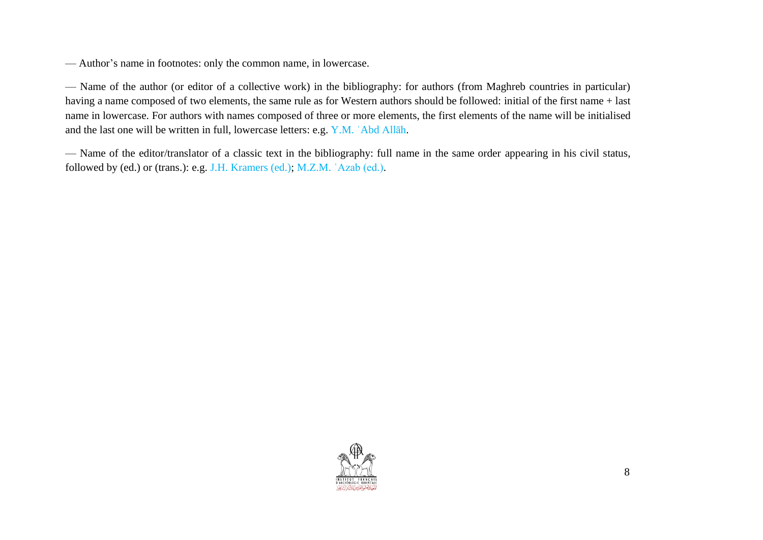— Author's name in footnotes: only the common name, in lowercase.

— Name of the author (or editor of a collective work) in the bibliography: for authors (from Maghreb countries in particular) having a name composed of two elements, the same rule as for Western authors should be followed: initial of the first name + last name in lowercase. For authors with names composed of three or more elements, the first elements of the name will be initialised and the last one will be written in full, lowercase letters: e.g. Y.M. ʿAbd Allāh.

— Name of the editor/translator of a classic text in the bibliography: full name in the same order appearing in his civil status, followed by (ed.) or (trans.): e.g. J.H. Kramers (ed.); M.Z.M. ʿAzab (ed.).

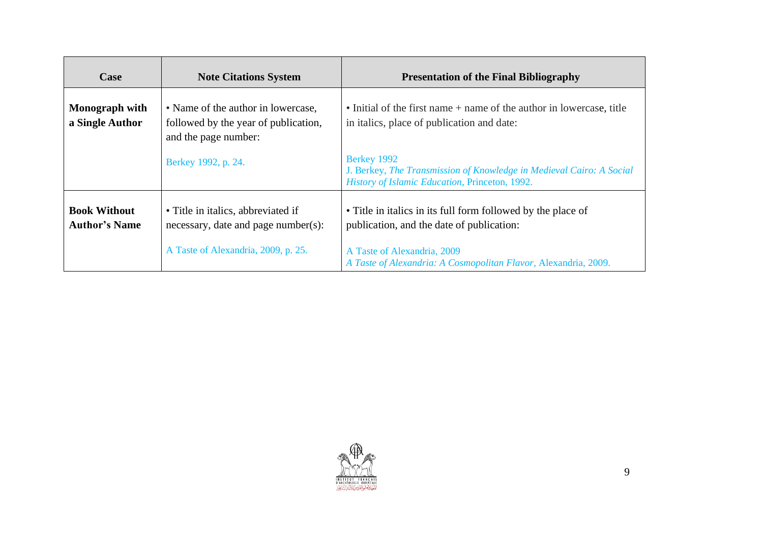| Case                                        | <b>Note Citations System</b>                                                                       | <b>Presentation of the Final Bibliography</b>                                                                                         |
|---------------------------------------------|----------------------------------------------------------------------------------------------------|---------------------------------------------------------------------------------------------------------------------------------------|
| Monograph with<br>a Single Author           | • Name of the author in lowercase,<br>followed by the year of publication,<br>and the page number: | • Initial of the first name + name of the author in lowercase, title<br>in italics, place of publication and date:                    |
|                                             | Berkey 1992, p. 24.                                                                                | Berkey 1992<br>J. Berkey, The Transmission of Knowledge in Medieval Cairo: A Social<br>History of Islamic Education, Princeton, 1992. |
| <b>Book Without</b><br><b>Author's Name</b> | • Title in italics, abbreviated if<br>necessary, date and page number(s):                          | • Title in italics in its full form followed by the place of<br>publication, and the date of publication:                             |
|                                             | A Taste of Alexandria, 2009, p. 25.                                                                | A Taste of Alexandria, 2009<br>A Taste of Alexandria: A Cosmopolitan Flavor, Alexandria, 2009.                                        |

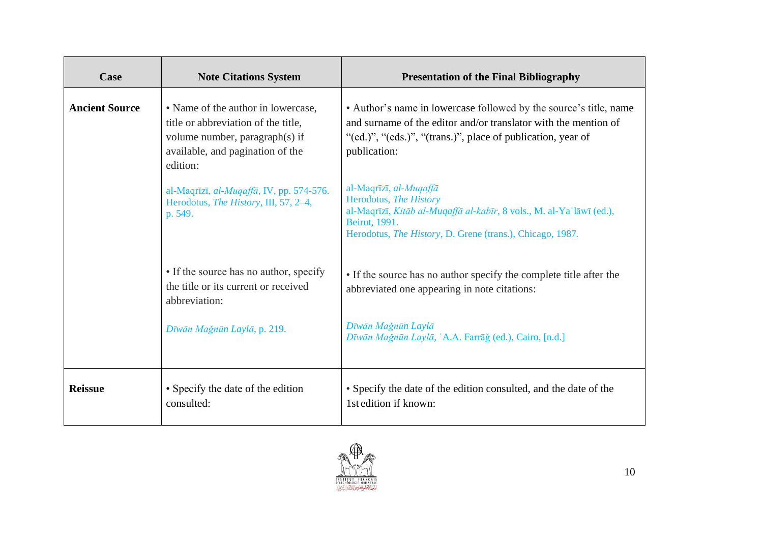| Case                  | <b>Note Citations System</b>                                                                                                                                | <b>Presentation of the Final Bibliography</b>                                                                                                                                                                        |
|-----------------------|-------------------------------------------------------------------------------------------------------------------------------------------------------------|----------------------------------------------------------------------------------------------------------------------------------------------------------------------------------------------------------------------|
| <b>Ancient Source</b> | • Name of the author in lowercase,<br>title or abbreviation of the title,<br>volume number, paragraph(s) if<br>available, and pagination of the<br>edition: | • Author's name in lowercase followed by the source's title, name<br>and surname of the editor and/or translator with the mention of<br>"(ed.)", "(eds.)", "(trans.)", place of publication, year of<br>publication: |
|                       | al-Maqrīzī, al-Muqaffā, IV, pp. 574-576.<br>Herodotus, The History, III, 57, 2-4,<br>p. 549.                                                                | al-Maqrīzī, al-Muqaffā<br>Herodotus, The History<br>al-Maqrīzī, Kitāb al-Muqaffā al-kabīr, 8 vols., M. al-Ya'lāwī (ed.),<br>Beirut, 1991.<br>Herodotus, <i>The History</i> , D. Grene (trans.), Chicago, 1987.       |
|                       | • If the source has no author, specify<br>the title or its current or received<br>abbreviation:                                                             | • If the source has no author specify the complete title after the<br>abbreviated one appearing in note citations:                                                                                                   |
|                       | Dīwān Mağnūn Laylā, p. 219.                                                                                                                                 | Dīwān Mağnūn Laylā<br>Dīwān Mağnūn Laylā, 'A.A. Farrāğ (ed.), Cairo, [n.d.]                                                                                                                                          |
| <b>Reissue</b>        | • Specify the date of the edition<br>consulted:                                                                                                             | • Specify the date of the edition consulted, and the date of the<br>1st edition if known:                                                                                                                            |

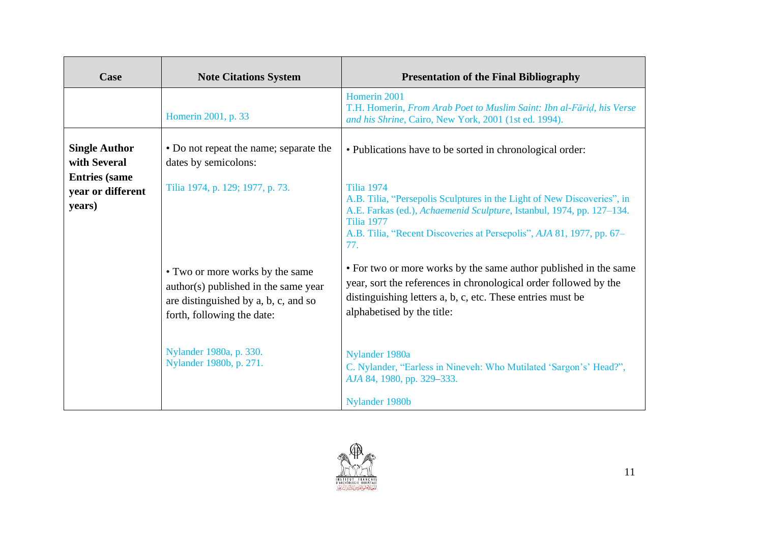| Case                                                         | <b>Note Citations System</b>                                                                                                                  | <b>Presentation of the Final Bibliography</b>                                                                                                                                                                                                                              |
|--------------------------------------------------------------|-----------------------------------------------------------------------------------------------------------------------------------------------|----------------------------------------------------------------------------------------------------------------------------------------------------------------------------------------------------------------------------------------------------------------------------|
|                                                              | Homerin 2001, p. 33                                                                                                                           | Homerin 2001<br>T.H. Homerin, From Arab Poet to Muslim Saint: Ibn al-Fārid, his Verse<br>and his Shrine, Cairo, New York, 2001 (1st ed. 1994).                                                                                                                             |
| <b>Single Author</b><br>with Several<br><b>Entries</b> (same | • Do not repeat the name; separate the<br>dates by semicolons:                                                                                | • Publications have to be sorted in chronological order:                                                                                                                                                                                                                   |
| year or different<br>years)                                  | Tilia 1974, p. 129; 1977, p. 73.                                                                                                              | <b>Tilia 1974</b><br>A.B. Tilia, "Persepolis Sculptures in the Light of New Discoveries", in<br>A.E. Farkas (ed.), Achaemenid Sculpture, Istanbul, 1974, pp. 127-134.<br><b>Tilia 1977</b><br>A.B. Tilia, "Recent Discoveries at Persepolis", AJA 81, 1977, pp. 67–<br>77. |
|                                                              | • Two or more works by the same<br>author(s) published in the same year<br>are distinguished by a, b, c, and so<br>forth, following the date: | • For two or more works by the same author published in the same<br>year, sort the references in chronological order followed by the<br>distinguishing letters a, b, c, etc. These entries must be<br>alphabetised by the title:                                           |
|                                                              | Nylander 1980a, p. 330.<br>Nylander 1980b, p. 271.                                                                                            | Nylander 1980a<br>C. Nylander, "Earless in Nineveh: Who Mutilated 'Sargon's' Head?",<br>AJA 84, 1980, pp. 329–333.<br>Nylander 1980b                                                                                                                                       |

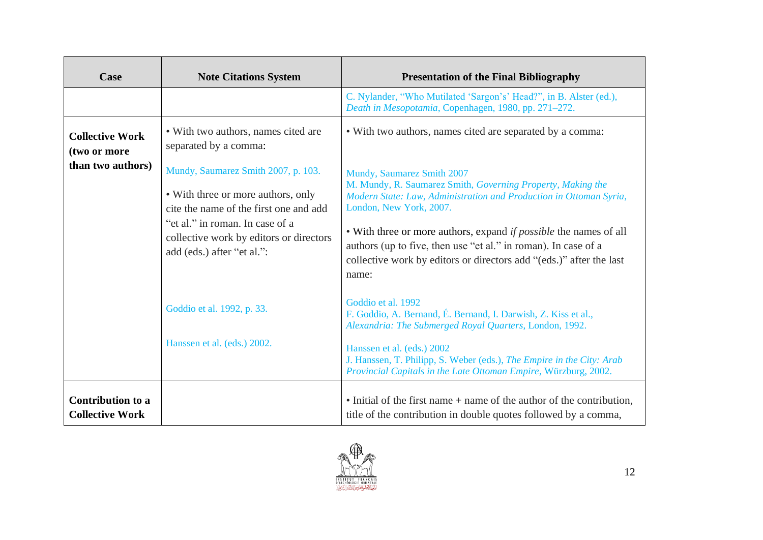| Case                                                        | <b>Note Citations System</b>                                                                                                                                                                                                                                                                    | <b>Presentation of the Final Bibliography</b>                                                                                                                                                                                                                                                                                                                                                                                                                                         |
|-------------------------------------------------------------|-------------------------------------------------------------------------------------------------------------------------------------------------------------------------------------------------------------------------------------------------------------------------------------------------|---------------------------------------------------------------------------------------------------------------------------------------------------------------------------------------------------------------------------------------------------------------------------------------------------------------------------------------------------------------------------------------------------------------------------------------------------------------------------------------|
|                                                             |                                                                                                                                                                                                                                                                                                 | C. Nylander, "Who Mutilated 'Sargon's' Head?", in B. Alster (ed.),<br>Death in Mesopotamia, Copenhagen, 1980, pp. 271–272.                                                                                                                                                                                                                                                                                                                                                            |
| <b>Collective Work</b><br>(two or more<br>than two authors) | • With two authors, names cited are<br>separated by a comma:<br>Mundy, Saumarez Smith 2007, p. 103.<br>• With three or more authors, only<br>cite the name of the first one and add<br>"et al." in roman. In case of a<br>collective work by editors or directors<br>add (eds.) after "et al.": | • With two authors, names cited are separated by a comma:<br>Mundy, Saumarez Smith 2007<br>M. Mundy, R. Saumarez Smith, Governing Property, Making the<br>Modern State: Law, Administration and Production in Ottoman Syria,<br>London, New York, 2007.<br>• With three or more authors, expand <i>if possible</i> the names of all<br>authors (up to five, then use "et al." in roman). In case of a<br>collective work by editors or directors add "(eds.)" after the last<br>name: |
|                                                             | Goddio et al. 1992, p. 33.<br>Hanssen et al. (eds.) 2002.                                                                                                                                                                                                                                       | Goddio et al. 1992<br>F. Goddio, A. Bernand, É. Bernand, I. Darwish, Z. Kiss et al.,<br>Alexandria: The Submerged Royal Quarters, London, 1992.<br>Hanssen et al. (eds.) 2002<br>J. Hanssen, T. Philipp, S. Weber (eds.), The Empire in the City: Arab<br>Provincial Capitals in the Late Ottoman Empire, Würzburg, 2002.                                                                                                                                                             |
| <b>Contribution to a</b><br><b>Collective Work</b>          |                                                                                                                                                                                                                                                                                                 | • Initial of the first name + name of the author of the contribution,<br>title of the contribution in double quotes followed by a comma,                                                                                                                                                                                                                                                                                                                                              |

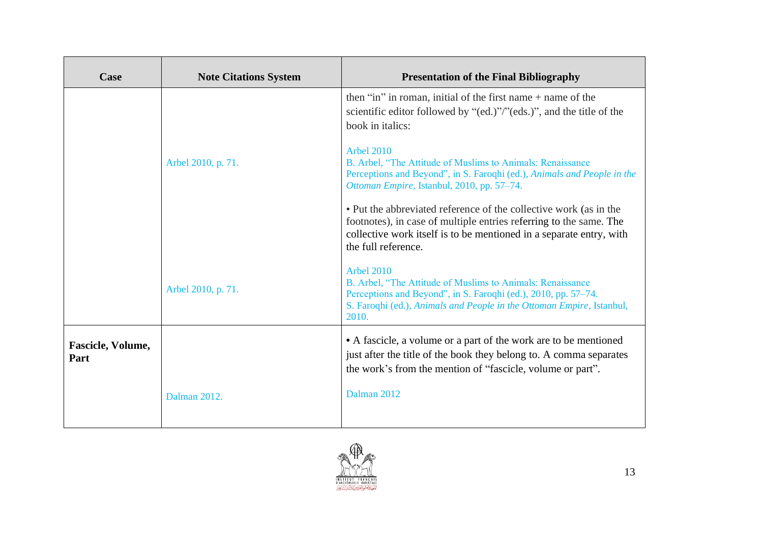| Case                             | <b>Note Citations System</b> | <b>Presentation of the Final Bibliography</b>                                                                                                                                                                                         |
|----------------------------------|------------------------------|---------------------------------------------------------------------------------------------------------------------------------------------------------------------------------------------------------------------------------------|
|                                  |                              | then "in" in roman, initial of the first name + name of the<br>scientific editor followed by "(ed.)"/"(eds.)", and the title of the<br>book in italics:                                                                               |
|                                  | Arbel 2010, p. 71.           | <b>Arbel 2010</b><br>B. Arbel, "The Attitude of Muslims to Animals: Renaissance<br>Perceptions and Beyond", in S. Faroqhi (ed.), Animals and People in the<br>Ottoman Empire, Istanbul, 2010, pp. 57-74.                              |
|                                  |                              | • Put the abbreviated reference of the collective work (as in the<br>footnotes), in case of multiple entries referring to the same. The<br>collective work itself is to be mentioned in a separate entry, with<br>the full reference. |
|                                  | Arbel 2010, p. 71.           | <b>Arbel 2010</b><br>B. Arbel, "The Attitude of Muslims to Animals: Renaissance<br>Perceptions and Beyond", in S. Faroqhi (ed.), 2010, pp. 57-74.<br>S. Faroqhi (ed.), Animals and People in the Ottoman Empire, Istanbul,<br>2010.   |
| <b>Fascicle, Volume,</b><br>Part |                              | • A fascicle, a volume or a part of the work are to be mentioned<br>just after the title of the book they belong to. A comma separates<br>the work's from the mention of "fascicle, volume or part".                                  |
|                                  | Dalman 2012.                 | Dalman 2012                                                                                                                                                                                                                           |

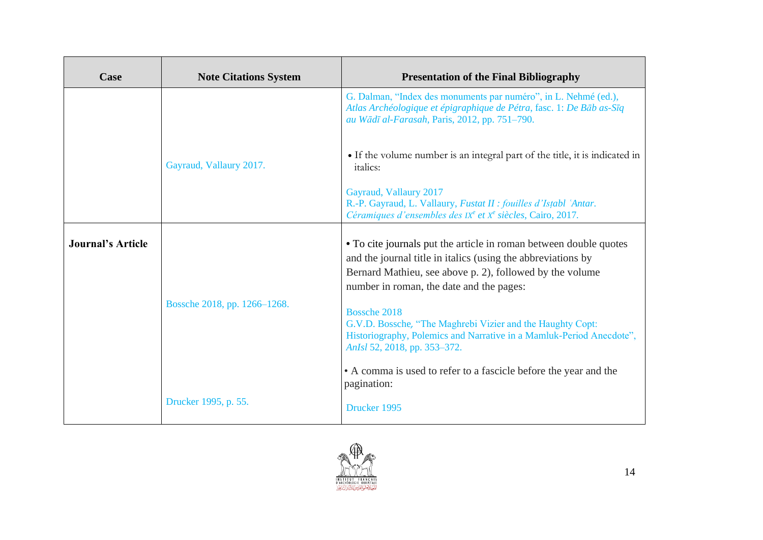| Case                     | <b>Note Citations System</b> | <b>Presentation of the Final Bibliography</b>                                                                                                                                                                                                             |
|--------------------------|------------------------------|-----------------------------------------------------------------------------------------------------------------------------------------------------------------------------------------------------------------------------------------------------------|
|                          |                              | G. Dalman, "Index des monuments par numéro", in L. Nehmé (ed.),<br>Atlas Archéologique et épigraphique de Pétra, fasc. 1: De Bāb as-Sīq<br>au Wādī al-Farasah, Paris, 2012, pp. 751–790.                                                                  |
|                          | Gayraud, Vallaury 2017.      | • If the volume number is an integral part of the title, it is indicated in<br><i>italics:</i>                                                                                                                                                            |
|                          |                              | Gayraud, Vallaury 2017<br>R.-P. Gayraud, L. Vallaury, Fustat II : fouilles d'Istabl 'Antar.<br>Céramiques d'ensembles des IX <sup>e</sup> et X <sup>e</sup> siècles, Cairo, 2017.                                                                         |
| <b>Journal's Article</b> | Bossche 2018, pp. 1266–1268. | • To cite journals put the article in roman between double quotes<br>and the journal title in italics (using the abbreviations by<br>Bernard Mathieu, see above p. 2), followed by the volume<br>number in roman, the date and the pages:<br>Bossche 2018 |
|                          |                              | G.V.D. Bossche, "The Maghrebi Vizier and the Haughty Copt:<br>Historiography, Polemics and Narrative in a Mamluk-Period Anecdote",<br>AnIsl 52, 2018, pp. 353-372.                                                                                        |
|                          |                              | • A comma is used to refer to a fascicle before the year and the<br>pagination:                                                                                                                                                                           |
|                          | Drucker 1995, p. 55.         | Drucker 1995                                                                                                                                                                                                                                              |

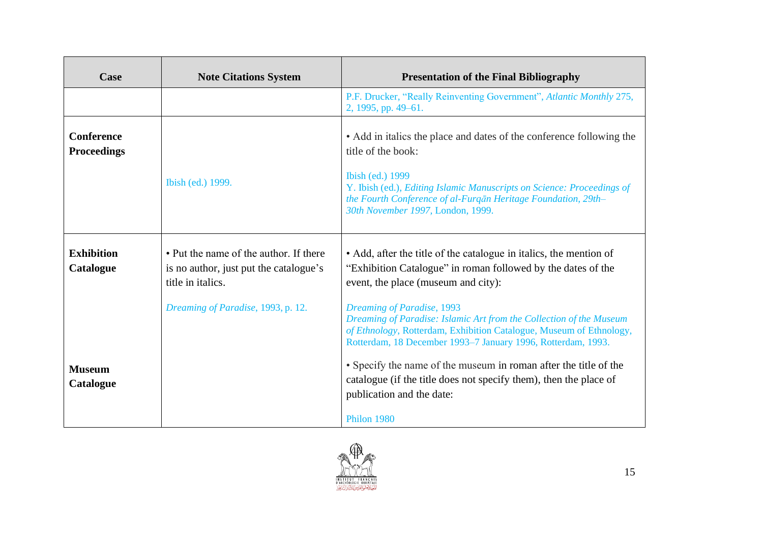| Case                                    | <b>Note Citations System</b>                                                                          | <b>Presentation of the Final Bibliography</b>                                                                                                                                                                                            |
|-----------------------------------------|-------------------------------------------------------------------------------------------------------|------------------------------------------------------------------------------------------------------------------------------------------------------------------------------------------------------------------------------------------|
|                                         |                                                                                                       | P.F. Drucker, "Really Reinventing Government", Atlantic Monthly 275,<br>2, 1995, pp. 49–61.                                                                                                                                              |
| <b>Conference</b><br><b>Proceedings</b> |                                                                                                       | • Add in italics the place and dates of the conference following the<br>title of the book:<br>Ibish (ed.) 1999                                                                                                                           |
|                                         | Ibish (ed.) 1999.                                                                                     | Y. Ibish (ed.), Editing Islamic Manuscripts on Science: Proceedings of<br>the Fourth Conference of al-Furgān Heritage Foundation, 29th-<br>30th November 1997, London, 1999.                                                             |
| <b>Exhibition</b><br>Catalogue          | • Put the name of the author. If there<br>is no author, just put the catalogue's<br>title in italics. | • Add, after the title of the catalogue in italics, the mention of<br>"Exhibition Catalogue" in roman followed by the dates of the<br>event, the place (museum and city):                                                                |
|                                         | Dreaming of Paradise, 1993, p. 12.                                                                    | Dreaming of Paradise, 1993<br>Dreaming of Paradise: Islamic Art from the Collection of the Museum<br>of Ethnology, Rotterdam, Exhibition Catalogue, Museum of Ethnology,<br>Rotterdam, 18 December 1993-7 January 1996, Rotterdam, 1993. |
| <b>Museum</b><br>Catalogue              |                                                                                                       | • Specify the name of the museum in roman after the title of the<br>catalogue (if the title does not specify them), then the place of<br>publication and the date:                                                                       |
|                                         |                                                                                                       | Philon 1980                                                                                                                                                                                                                              |

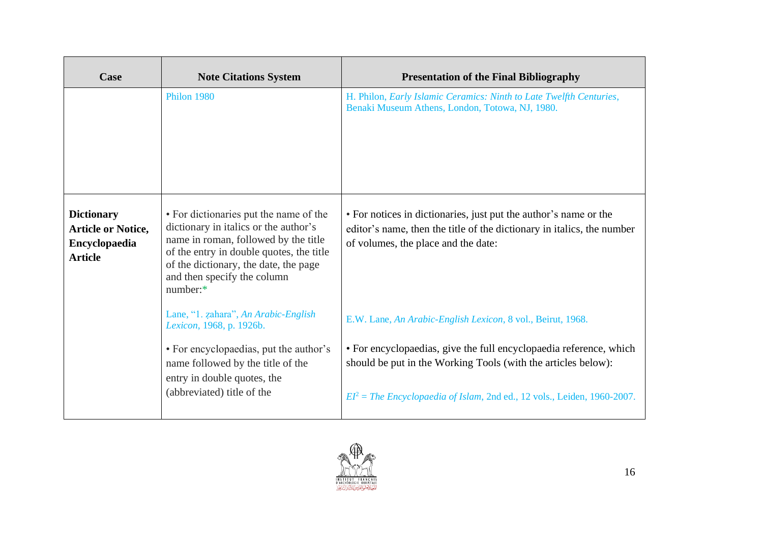| Case                                                                              | <b>Note Citations System</b>                                                                                                                                                                                                                            | <b>Presentation of the Final Bibliography</b>                                                                                                                                     |
|-----------------------------------------------------------------------------------|---------------------------------------------------------------------------------------------------------------------------------------------------------------------------------------------------------------------------------------------------------|-----------------------------------------------------------------------------------------------------------------------------------------------------------------------------------|
|                                                                                   | <b>Philon 1980</b>                                                                                                                                                                                                                                      | H. Philon, Early Islamic Ceramics: Ninth to Late Twelfth Centuries,<br>Benaki Museum Athens, London, Totowa, NJ, 1980.                                                            |
| <b>Dictionary</b><br><b>Article or Notice,</b><br>Encyclopaedia<br><b>Article</b> | • For dictionaries put the name of the<br>dictionary in italics or the author's<br>name in roman, followed by the title<br>of the entry in double quotes, the title<br>of the dictionary, the date, the page<br>and then specify the column<br>number:* | • For notices in dictionaries, just put the author's name or the<br>editor's name, then the title of the dictionary in italics, the number<br>of volumes, the place and the date: |
|                                                                                   | Lane, "1. zahara", An Arabic-English<br>Lexicon, 1968, p. 1926b.                                                                                                                                                                                        | E.W. Lane, An Arabic-English Lexicon, 8 vol., Beirut, 1968.                                                                                                                       |
|                                                                                   | • For encyclopaedias, put the author's<br>name followed by the title of the<br>entry in double quotes, the                                                                                                                                              | • For encyclopaedias, give the full encyclopaedia reference, which<br>should be put in the Working Tools (with the articles below):                                               |
|                                                                                   | (abbreviated) title of the                                                                                                                                                                                                                              | $EI^2$ = The Encyclopaedia of Islam, 2nd ed., 12 vols., Leiden, 1960-2007.                                                                                                        |

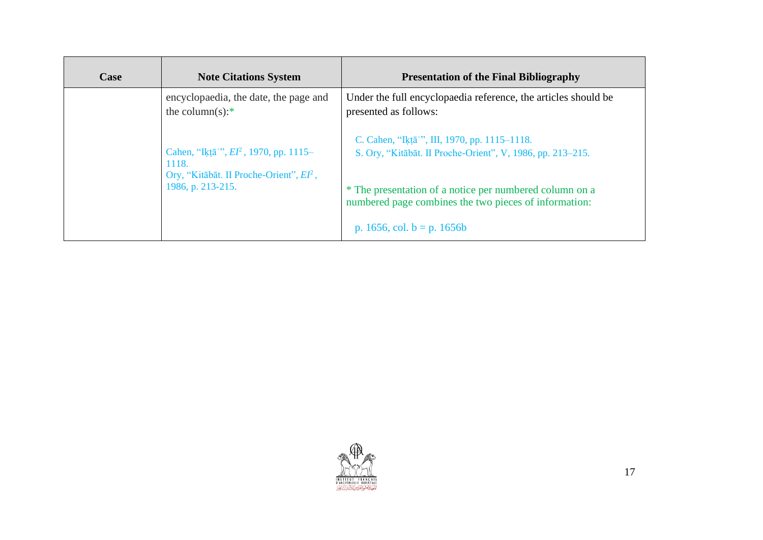| <b>Note Citations System</b>                                                                                                 | <b>Presentation of the Final Bibliography</b>                                                                                                     |
|------------------------------------------------------------------------------------------------------------------------------|---------------------------------------------------------------------------------------------------------------------------------------------------|
| encyclopaedia, the date, the page and<br>the column(s): $*$                                                                  | Under the full encyclopaedia reference, the articles should be<br>presented as follows:                                                           |
| Cahen, "Ikṭā", $EI^2$ , 1970, pp. 1115-<br>1118.<br>Ory, "Kitābāt. II Proche-Orient", EI <sup>2</sup> ,<br>1986, p. 213-215. | C. Cahen, "Iktā", III, 1970, pp. 1115–1118.<br>S. Ory, "Kitābāt. II Proche-Orient", V, 1986, pp. 213–215.                                         |
|                                                                                                                              | * The presentation of a notice per numbered column on a<br>numbered page combines the two pieces of information:<br>p. 1656, col. $b = p$ . 1656b |
|                                                                                                                              |                                                                                                                                                   |

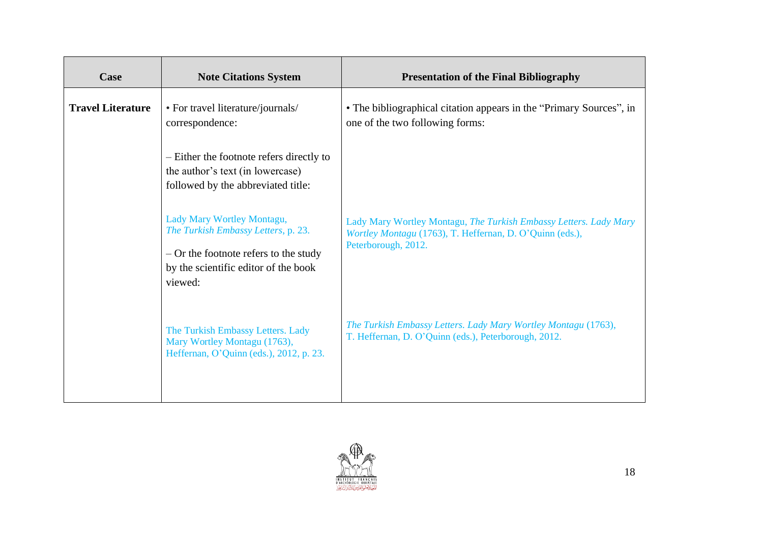| Case                     | <b>Note Citations System</b>                                                                                                                                    | <b>Presentation of the Final Bibliography</b>                                                                                                        |
|--------------------------|-----------------------------------------------------------------------------------------------------------------------------------------------------------------|------------------------------------------------------------------------------------------------------------------------------------------------------|
| <b>Travel Literature</b> | • For travel literature/journals/<br>correspondence:                                                                                                            | • The bibliographical citation appears in the "Primary Sources", in<br>one of the two following forms:                                               |
|                          | - Either the footnote refers directly to<br>the author's text (in lowercase)<br>followed by the abbreviated title:                                              |                                                                                                                                                      |
|                          | Lady Mary Wortley Montagu,<br>The Turkish Embassy Letters, p. 23.<br>$-$ Or the footnote refers to the study<br>by the scientific editor of the book<br>viewed: | Lady Mary Wortley Montagu, The Turkish Embassy Letters. Lady Mary<br>Wortley Montagu (1763), T. Heffernan, D. O'Quinn (eds.),<br>Peterborough, 2012. |
|                          | The Turkish Embassy Letters. Lady<br>Mary Wortley Montagu (1763),<br>Heffernan, O'Quinn (eds.), 2012, p. 23.                                                    | The Turkish Embassy Letters. Lady Mary Wortley Montagu (1763),<br>T. Heffernan, D. O'Quinn (eds.), Peterborough, 2012.                               |

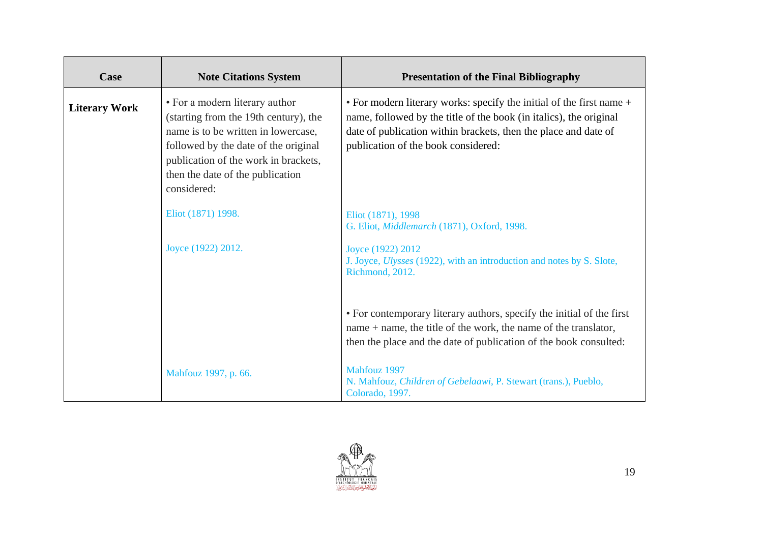| Case                 | <b>Note Citations System</b>                                                                                                                                                                                                                      | <b>Presentation of the Final Bibliography</b>                                                                                                                                                                                                        |
|----------------------|---------------------------------------------------------------------------------------------------------------------------------------------------------------------------------------------------------------------------------------------------|------------------------------------------------------------------------------------------------------------------------------------------------------------------------------------------------------------------------------------------------------|
| <b>Literary Work</b> | • For a modern literary author<br>(starting from the 19th century), the<br>name is to be written in lowercase,<br>followed by the date of the original<br>publication of the work in brackets,<br>then the date of the publication<br>considered: | • For modern literary works: specify the initial of the first name +<br>name, followed by the title of the book (in italics), the original<br>date of publication within brackets, then the place and date of<br>publication of the book considered: |
|                      | Eliot (1871) 1998.                                                                                                                                                                                                                                | Eliot (1871), 1998<br>G. Eliot, Middlemarch (1871), Oxford, 1998.                                                                                                                                                                                    |
|                      | Joyce (1922) 2012.                                                                                                                                                                                                                                | Joyce (1922) 2012<br>J. Joyce, Ulysses (1922), with an introduction and notes by S. Slote,<br>Richmond, 2012.                                                                                                                                        |
|                      |                                                                                                                                                                                                                                                   | • For contemporary literary authors, specify the initial of the first<br>name $+$ name, the title of the work, the name of the translator,<br>then the place and the date of publication of the book consulted:                                      |
|                      | Mahfouz 1997, p. 66.                                                                                                                                                                                                                              | Mahfouz 1997<br>N. Mahfouz, Children of Gebelaawi, P. Stewart (trans.), Pueblo,<br>Colorado, 1997.                                                                                                                                                   |

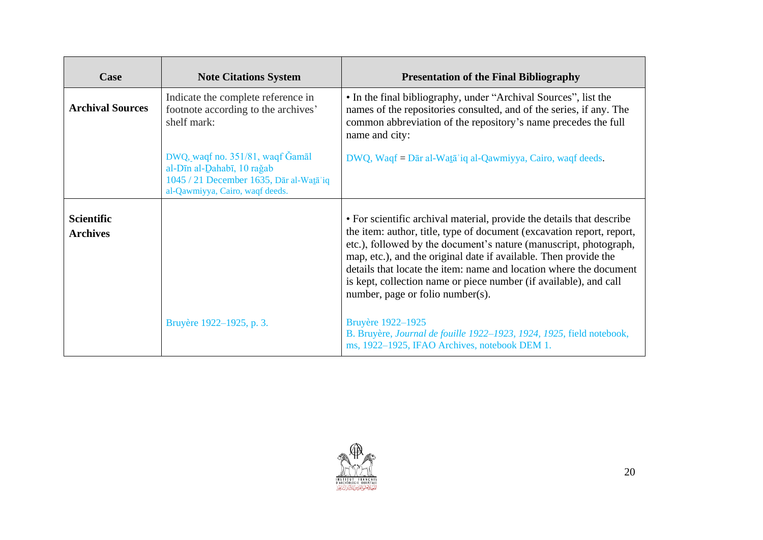| Case                                 | <b>Note Citations System</b>                                                                                                                 | <b>Presentation of the Final Bibliography</b>                                                                                                                                                                                                                                                                                                                                                                                                                          |
|--------------------------------------|----------------------------------------------------------------------------------------------------------------------------------------------|------------------------------------------------------------------------------------------------------------------------------------------------------------------------------------------------------------------------------------------------------------------------------------------------------------------------------------------------------------------------------------------------------------------------------------------------------------------------|
| <b>Archival Sources</b>              | Indicate the complete reference in<br>footnote according to the archives'<br>shelf mark:                                                     | • In the final bibliography, under "Archival Sources", list the<br>names of the repositories consulted, and of the series, if any. The<br>common abbreviation of the repository's name precedes the full<br>name and city:                                                                                                                                                                                                                                             |
|                                      | DWQ, waqf no. 351/81, waqf Gamal<br>al-Dīn al-Dahabī, 10 rağab<br>1045 / 21 December 1635, Dār al-Watā'iq<br>al-Qawmiyya, Cairo, waqf deeds. | DWQ, Waqf = Dār al-Watā'iq al-Qawmiyya, Cairo, waqf deeds.                                                                                                                                                                                                                                                                                                                                                                                                             |
| <b>Scientific</b><br><b>Archives</b> |                                                                                                                                              | • For scientific archival material, provide the details that describe<br>the item: author, title, type of document (excavation report, report,<br>etc.), followed by the document's nature (manuscript, photograph,<br>map, etc.), and the original date if available. Then provide the<br>details that locate the item: name and location where the document<br>is kept, collection name or piece number (if available), and call<br>number, page or folio number(s). |
|                                      | Bruyère 1922–1925, p. 3.                                                                                                                     | Bruyère 1922–1925<br>B. Bruyère, Journal de fouille 1922-1923, 1924, 1925, field notebook,<br>ms, 1922-1925, IFAO Archives, notebook DEM 1.                                                                                                                                                                                                                                                                                                                            |

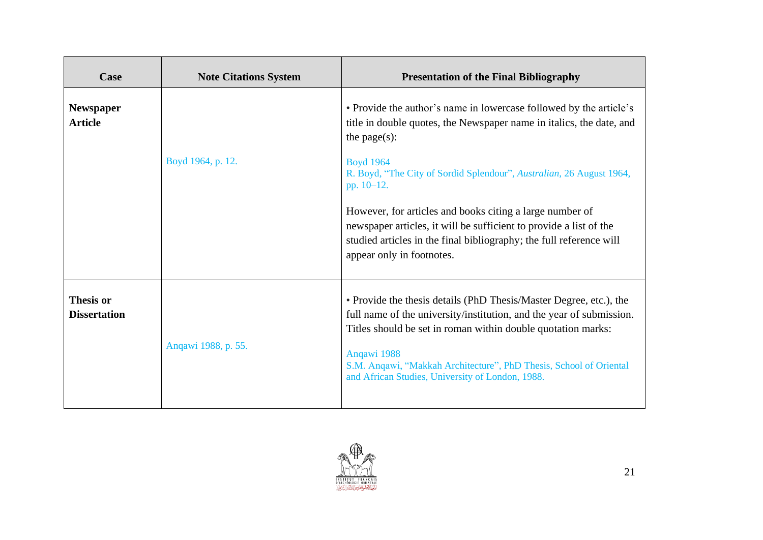| Case                                    | <b>Note Citations System</b> | <b>Presentation of the Final Bibliography</b>                                                                                                                                                                                                                                                                                                                                                                                                                                                                  |
|-----------------------------------------|------------------------------|----------------------------------------------------------------------------------------------------------------------------------------------------------------------------------------------------------------------------------------------------------------------------------------------------------------------------------------------------------------------------------------------------------------------------------------------------------------------------------------------------------------|
| <b>Newspaper</b><br><b>Article</b>      | Boyd 1964, p. 12.            | • Provide the author's name in lowercase followed by the article's<br>title in double quotes, the Newspaper name in italics, the date, and<br>the page $(s)$ :<br><b>Boyd 1964</b><br>R. Boyd, "The City of Sordid Splendour", Australian, 26 August 1964,<br>pp. 10-12.<br>However, for articles and books citing a large number of<br>newspaper articles, it will be sufficient to provide a list of the<br>studied articles in the final bibliography; the full reference will<br>appear only in footnotes. |
| <b>Thesis or</b><br><b>Dissertation</b> | Angawi 1988, p. 55.          | • Provide the thesis details (PhD Thesis/Master Degree, etc.), the<br>full name of the university/institution, and the year of submission.<br>Titles should be set in roman within double quotation marks:<br>Angawi 1988<br>S.M. Angawi, "Makkah Architecture", PhD Thesis, School of Oriental<br>and African Studies, University of London, 1988.                                                                                                                                                            |

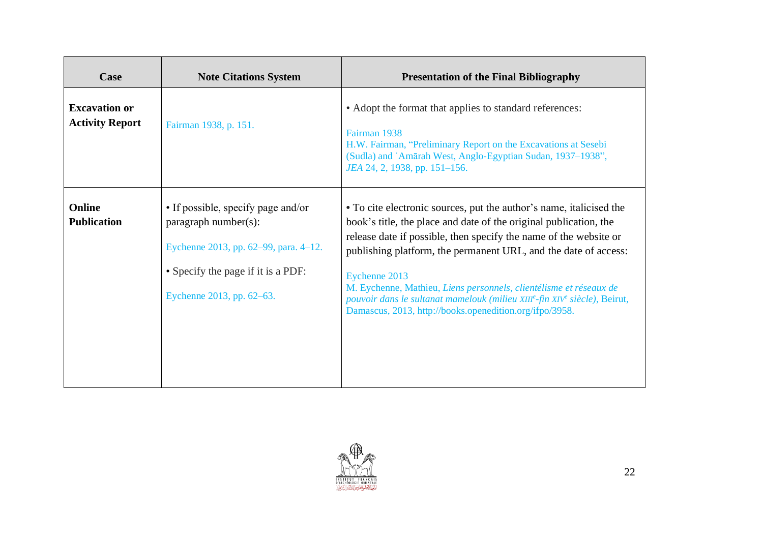| Case                                           | <b>Note Citations System</b>                                                                                                                                           | <b>Presentation of the Final Bibliography</b>                                                                                                                                                                                                                                                                                                                                                                                                                                                                   |
|------------------------------------------------|------------------------------------------------------------------------------------------------------------------------------------------------------------------------|-----------------------------------------------------------------------------------------------------------------------------------------------------------------------------------------------------------------------------------------------------------------------------------------------------------------------------------------------------------------------------------------------------------------------------------------------------------------------------------------------------------------|
| <b>Excavation or</b><br><b>Activity Report</b> | Fairman 1938, p. 151.                                                                                                                                                  | • Adopt the format that applies to standard references:<br>Fairman 1938<br>H.W. Fairman, "Preliminary Report on the Excavations at Sesebi<br>(Sudla) and 'Amārah West, Anglo-Egyptian Sudan, 1937-1938",<br>JEA 24, 2, 1938, pp. 151-156.                                                                                                                                                                                                                                                                       |
| <b>Online</b><br><b>Publication</b>            | • If possible, specify page and/or<br>paragraph number(s):<br>Eychenne 2013, pp. 62–99, para. 4–12.<br>• Specify the page if it is a PDF:<br>Eychenne 2013, pp. 62–63. | • To cite electronic sources, put the author's name, italicised the<br>book's title, the place and date of the original publication, the<br>release date if possible, then specify the name of the website or<br>publishing platform, the permanent URL, and the date of access:<br>Eychenne 2013<br>M. Eychenne, Mathieu, Liens personnels, clientélisme et réseaux de<br>pouvoir dans le sultanat mamelouk (milieu XIIIe-fin XIVe siècle), Beirut,<br>Damascus, 2013, http://books.openedition.org/ifpo/3958. |